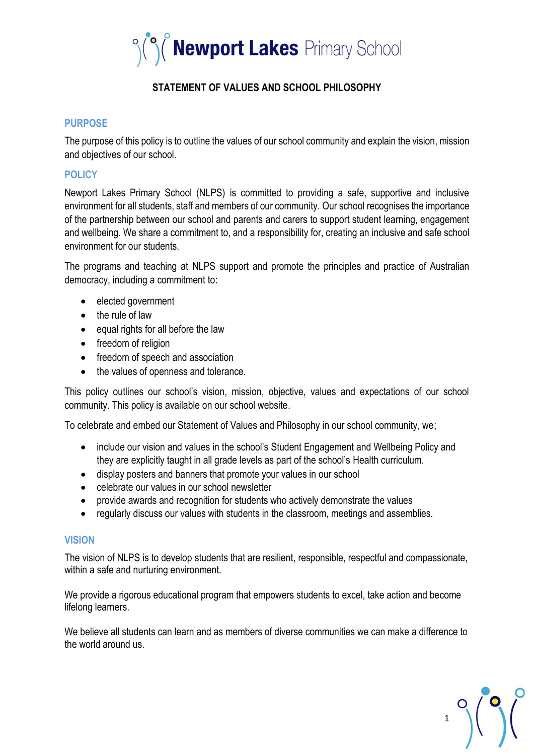

# **STATEMENT OF VALUES AND SCHOOL PHILOSOPHY**

### **PURPOSE**

The purpose of this policy is to outline the values of our school community and explain the vision, mission and objectives of our school.

## **POLICY**

Newport Lakes Primary School (NLPS) is committed to providing a safe, supportive and inclusive environment for all students, staff and members of our community. Our school recognises the importance of the partnership between our school and parents and carers to support student learning, engagement and wellbeing. We share a commitment to, and a responsibility for, creating an inclusive and safe school environment for our students.

The programs and teaching at NLPS support and promote the principles and practice of Australian democracy, including a commitment to:

- elected government
- the rule of law
- equal rights for all before the law
- freedom of religion
- freedom of speech and association
- the values of openness and tolerance.

This policy outlines our school's vision, mission, objective, values and expectations of our school community. This policy is available on our school website.

To celebrate and embed our Statement of Values and Philosophy in our school community, we;

- include our vision and values in the school's Student Engagement and Wellbeing Policy and they are explicitly taught in all grade levels as part of the school's Health curriculum.
- display posters and banners that promote your values in our school
- celebrate our values in our school newsletter
- provide awards and recognition for students who actively demonstrate the values
- regularly discuss our values with students in the classroom, meetings and assemblies.

#### **VISION**

The vision of NLPS is to develop students that are resilient, responsible, respectful and compassionate, within a safe and nurturing environment.

We provide a rigorous educational program that empowers students to excel, take action and become lifelong learners.

We believe all students can learn and as members of diverse communities we can make a difference to the world around us.

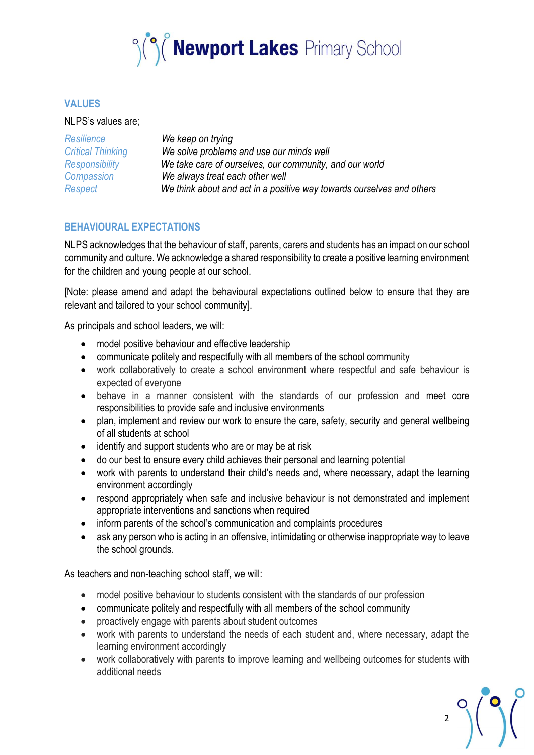

### **VALUES**

#### NLPS's values are;

| Resilience               | We keep on trying                                                     |
|--------------------------|-----------------------------------------------------------------------|
| <b>Critical Thinking</b> | We solve problems and use our minds well                              |
| Responsibility           | We take care of ourselves, our community, and our world               |
| Compassion               | We always treat each other well                                       |
| Respect                  | We think about and act in a positive way towards ourselves and others |

## **BEHAVIOURAL EXPECTATIONS**

NLPS acknowledges that the behaviour of staff, parents, carers and students has an impact on our school community and culture. We acknowledge a shared responsibility to create a positive learning environment for the children and young people at our school.

[Note: please amend and adapt the behavioural expectations outlined below to ensure that they are relevant and tailored to your school community].

As principals and school leaders, we will:

- model positive behaviour and effective leadership
- communicate politely and respectfully with all members of the school community
- work collaboratively to create a school environment where respectful and safe behaviour is expected of everyone
- behave in a manner consistent with the standards of our profession and meet core responsibilities to provide safe and inclusive environments
- plan, implement and review our work to ensure the care, safety, security and general wellbeing of all students at school
- identify and support students who are or may be at risk
- do our best to ensure every child achieves their personal and learning potential
- work with parents to understand their child's needs and, where necessary, adapt the learning environment accordingly
- respond appropriately when safe and inclusive behaviour is not demonstrated and implement appropriate interventions and sanctions when required
- inform parents of the school's communication and complaints procedures
- ask any person who is acting in an offensive, intimidating or otherwise inappropriate way to leave the school grounds.

As teachers and non-teaching school staff, we will:

- model positive behaviour to students consistent with the standards of our profession
- communicate politely and respectfully with all members of the school community
- proactively engage with parents about student outcomes
- work with parents to understand the needs of each student and, where necessary, adapt the learning environment accordingly
- work collaboratively with parents to improve learning and wellbeing outcomes for students with additional needs

 $2^{\circ}$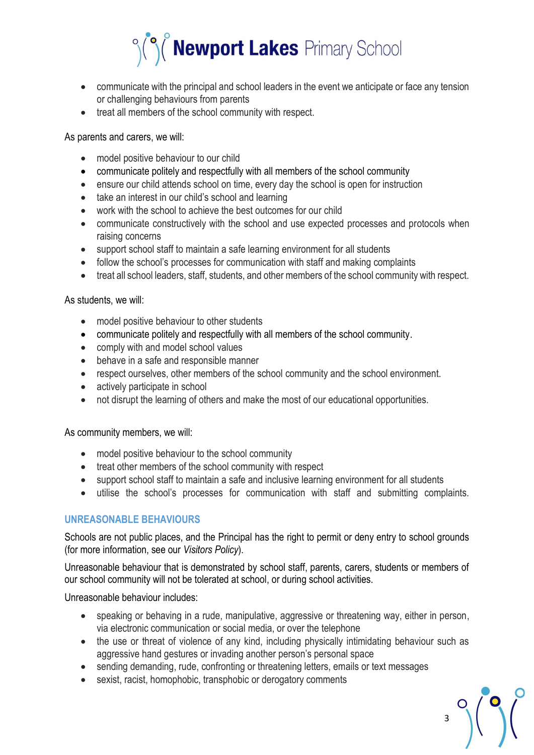

- communicate with the principal and school leaders in the event we anticipate or face any tension or challenging behaviours from parents
- treat all members of the school community with respect.

As parents and carers, we will:

- model positive behaviour to our child
- communicate politely and respectfully with all members of the school community
- ensure our child attends school on time, every day the school is open for instruction
- take an interest in our child's school and learning
- work with the school to achieve the best outcomes for our child
- communicate constructively with the school and use expected processes and protocols when raising concerns
- support school staff to maintain a safe learning environment for all students
- follow the school's processes for communication with staff and making complaints
- treat all school leaders, staff, students, and other members of the school community with respect.

As students, we will:

- model positive behaviour to other students
- communicate politely and respectfully with all members of the school community.
- comply with and model school values
- behave in a safe and responsible manner
- respect ourselves, other members of the school community and the school environment.
- actively participate in school
- not disrupt the learning of others and make the most of our educational opportunities.

As community members, we will:

- model positive behaviour to the school community
- treat other members of the school community with respect
- support school staff to maintain a safe and inclusive learning environment for all students
- utilise the school's processes for communication with staff and submitting complaints.

## **UNREASONABLE BEHAVIOURS**

Schools are not public places, and the Principal has the right to permit or deny entry to school grounds (for more information, see our *Visitors Policy*).

Unreasonable behaviour that is demonstrated by school staff, parents, carers, students or members of our school community will not be tolerated at school, or during school activities.

Unreasonable behaviour includes:

- speaking or behaving in a rude, manipulative, aggressive or threatening way, either in person, via electronic communication or social media, or over the telephone
- the use or threat of violence of any kind, including physically intimidating behaviour such as aggressive hand gestures or invading another person's personal space

 $3^{\circ}$ 

- sending demanding, rude, confronting or threatening letters, emails or text messages
- sexist, racist, homophobic, transphobic or derogatory comments